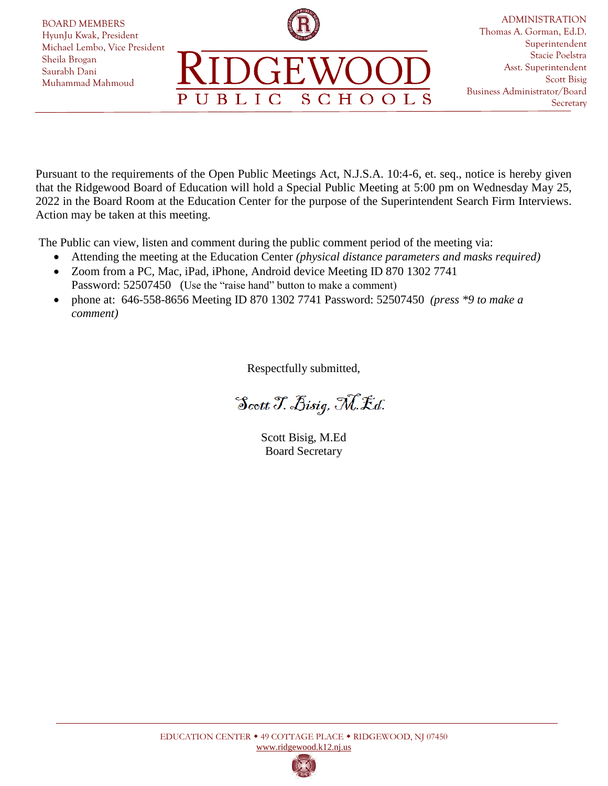

Pursuant to the requirements of the Open Public Meetings Act, N.J.S.A. 10:4-6, et. seq., notice is hereby given that the Ridgewood Board of Education will hold a Special Public Meeting at 5:00 pm on Wednesday May 25, 2022 in the Board Room at the Education Center for the purpose of the Superintendent Search Firm Interviews. Action may be taken at this meeting.

The Public can view, listen and comment during the public comment period of the meeting via:

- Attending the meeting at the Education Center *(physical distance parameters and masks required)*
- Zoom from a PC, Mac, iPad, iPhone, Android device Meeting ID 870 1302 7741 Password: 52507450 (Use the "raise hand" button to make a comment)
- phone at: 646-558-8656 Meeting ID 870 1302 7741 Password: 52507450 *(press \*9 to make a comment)*

Respectfully submitted,

Scott T. Bisig, M.Ed.

Scott Bisig, M.Ed Board Secretary

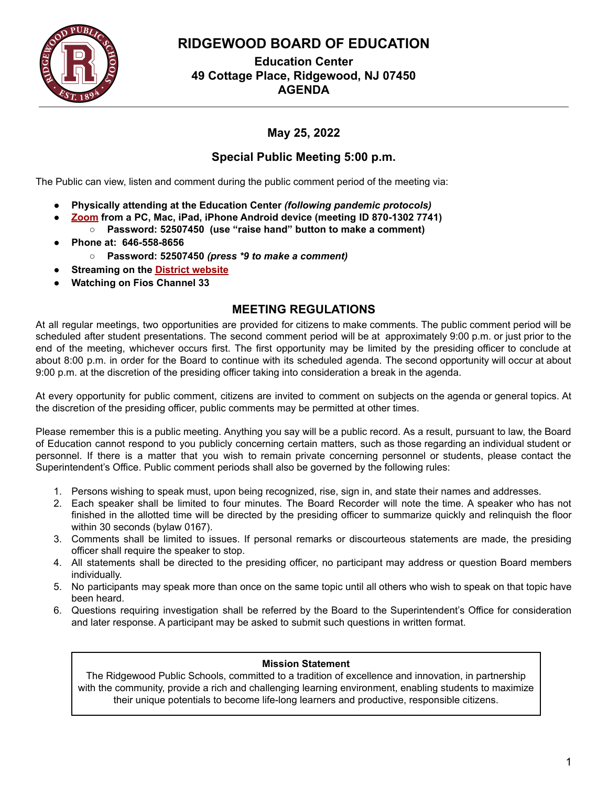

## **RIDGEWOOD BOARD OF EDUCATION**

**Education Center 49 Cottage Place, Ridgewood, NJ 07450 AGENDA**

## **May 25, 2022**

### **Special Public Meeting 5:00 p.m.**

The Public can view, listen and comment during the public comment period of the meeting via:

- **● Physically attending at the Education Center** *(following pandemic protocols)*
- **● Zoom from a PC, Mac, iPad, iPhone Android device (meeting ID 870-1302 7741) ○ Password: 52507450 (use "raise hand" button to make a comment)**
- **● Phone at: 646-558-8656**
	- **○ Password: 52507450** *(press \*9 to make a comment)*
- *●* **Streaming on the District website**
- *●* **Watching on Fios Channel 33**

### **MEETING REGULATIONS**

At all regular meetings, two opportunities are provided for citizens to make comments. The public comment period will be scheduled after student presentations. The second comment period will be at approximately 9:00 p.m. or just prior to the end of the meeting, whichever occurs first. The first opportunity may be limited by the presiding officer to conclude at about 8:00 p.m. in order for the Board to continue with its scheduled agenda. The second opportunity will occur at about 9:00 p.m. at the discretion of the presiding officer taking into consideration a break in the agenda.

At every opportunity for public comment, citizens are invited to comment on subjects on the agenda or general topics. At the discretion of the presiding officer, public comments may be permitted at other times.

Please remember this is a public meeting. Anything you say will be a public record. As a result, pursuant to law, the Board of Education cannot respond to you publicly concerning certain matters, such as those regarding an individual student or personnel. If there is a matter that you wish to remain private concerning personnel or students, please contact the Superintendent's Office. Public comment periods shall also be governed by the following rules:

- 1. Persons wishing to speak must, upon being recognized, rise, sign in, and state their names and addresses.
- 2. Each speaker shall be limited to four minutes. The Board Recorder will note the time. A speaker who has not finished in the allotted time will be directed by the presiding officer to summarize quickly and relinquish the floor within 30 seconds (bylaw 0167).
- 3. Comments shall be limited to issues. If personal remarks or discourteous statements are made, the presiding officer shall require the speaker to stop.
- 4. All statements shall be directed to the presiding officer, no participant may address or question Board members individually.
- 5. No participants may speak more than once on the same topic until all others who wish to speak on that topic have been heard.
- 6. Questions requiring investigation shall be referred by the Board to the Superintendent's Office for consideration and later response. A participant may be asked to submit such questions in written format.

#### **Mission Statement**

The Ridgewood Public Schools, committed to a tradition of excellence and innovation, in partnership with the community, provide a rich and challenging learning environment, enabling students to maximize their unique potentials to become life-long learners and productive, responsible citizens.